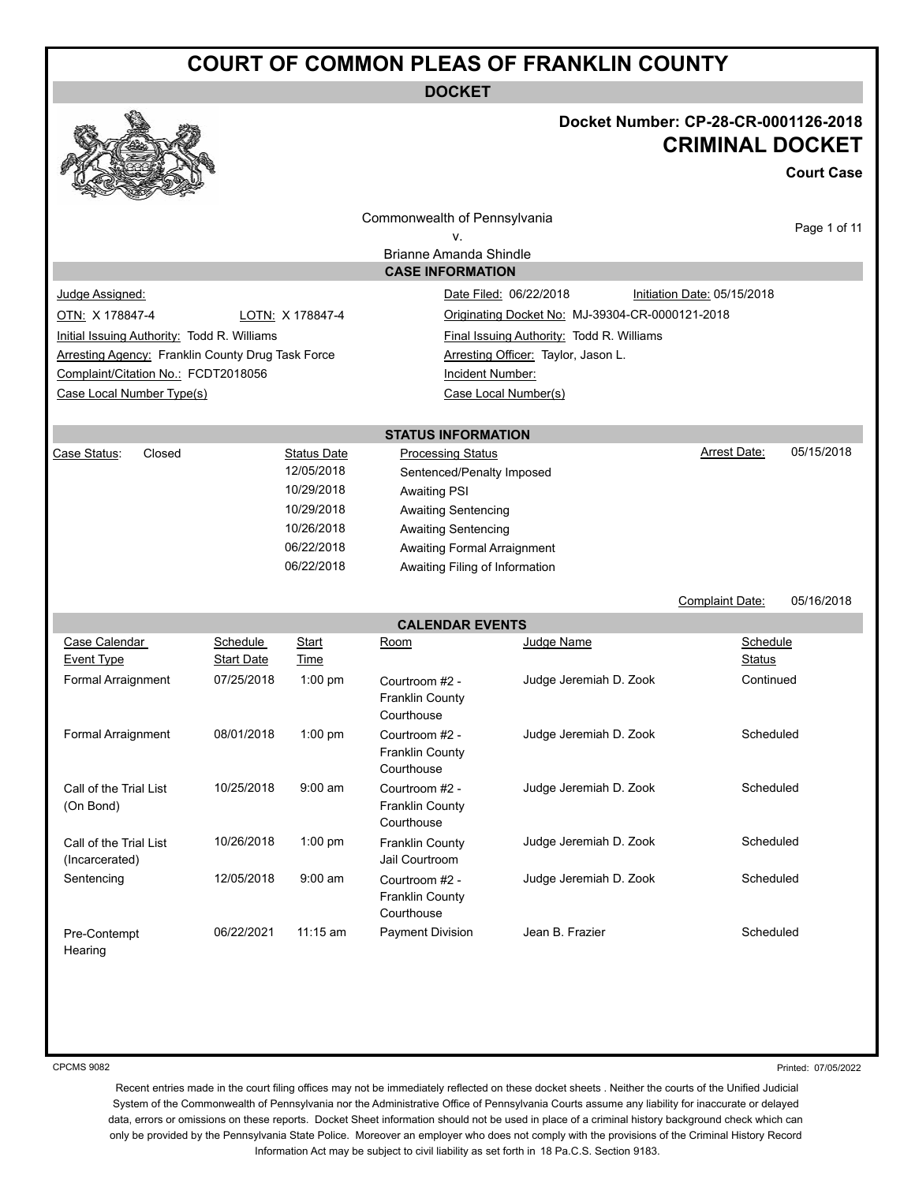**DOCKET**



### **Docket Number: CP-28-CR-0001126-2018 CRIMINAL DOCKET**

**Court Case**

|                                                          |                   |                          | Commonwealth of Pennsylvania             |                                                 |                             |              |
|----------------------------------------------------------|-------------------|--------------------------|------------------------------------------|-------------------------------------------------|-----------------------------|--------------|
|                                                          |                   |                          | ۷.                                       |                                                 |                             | Page 1 of 11 |
|                                                          |                   |                          | <b>Brianne Amanda Shindle</b>            |                                                 |                             |              |
|                                                          |                   |                          | <b>CASE INFORMATION</b>                  |                                                 |                             |              |
| Judge Assigned:                                          |                   |                          |                                          | Date Filed: 06/22/2018                          | Initiation Date: 05/15/2018 |              |
| OTN: X 178847-4                                          |                   | LOTN: X 178847-4         |                                          | Originating Docket No: MJ-39304-CR-0000121-2018 |                             |              |
| Initial Issuing Authority: Todd R. Williams              |                   |                          |                                          | Final Issuing Authority: Todd R. Williams       |                             |              |
| <b>Arresting Agency: Franklin County Drug Task Force</b> |                   |                          |                                          | Arresting Officer: Taylor, Jason L.             |                             |              |
| Complaint/Citation No.: FCDT2018056                      |                   |                          | Incident Number:                         |                                                 |                             |              |
| Case Local Number Type(s)                                |                   |                          |                                          | Case Local Number(s)                            |                             |              |
|                                                          |                   |                          |                                          |                                                 |                             |              |
|                                                          |                   |                          | <b>STATUS INFORMATION</b>                |                                                 |                             |              |
| Closed<br>Case Status:                                   |                   | <b>Status Date</b>       | <b>Processing Status</b>                 |                                                 | <b>Arrest Date:</b>         | 05/15/2018   |
|                                                          |                   | 12/05/2018               | Sentenced/Penalty Imposed                |                                                 |                             |              |
|                                                          |                   | 10/29/2018               | <b>Awaiting PSI</b>                      |                                                 |                             |              |
|                                                          |                   | 10/29/2018               | <b>Awaiting Sentencing</b>               |                                                 |                             |              |
|                                                          |                   | 10/26/2018<br>06/22/2018 | <b>Awaiting Sentencing</b>               |                                                 |                             |              |
|                                                          |                   | 06/22/2018               | Awaiting Formal Arraignment              |                                                 |                             |              |
|                                                          |                   |                          | Awaiting Filing of Information           |                                                 |                             |              |
|                                                          |                   |                          |                                          |                                                 | Complaint Date:             | 05/16/2018   |
|                                                          |                   |                          | <b>CALENDAR EVENTS</b>                   |                                                 |                             |              |
| Case Calendar                                            | <b>Schedule</b>   | <b>Start</b>             | Room                                     | Judge Name                                      | Schedule                    |              |
| <b>Event Type</b>                                        | <b>Start Date</b> | Time                     |                                          |                                                 | Status                      |              |
| Formal Arraignment                                       | 07/25/2018        | $1:00$ pm                | Courtroom #2 -                           | Judge Jeremiah D. Zook                          | Continued                   |              |
|                                                          |                   |                          | <b>Franklin County</b>                   |                                                 |                             |              |
|                                                          |                   |                          | Courthouse                               |                                                 |                             |              |
| Formal Arraignment                                       | 08/01/2018        | $1:00$ pm                | Courtroom #2 -                           |                                                 |                             |              |
|                                                          |                   |                          |                                          | Judge Jeremiah D. Zook                          | Scheduled                   |              |
|                                                          |                   |                          | <b>Franklin County</b>                   |                                                 |                             |              |
|                                                          |                   |                          | Courthouse                               |                                                 |                             |              |
| Call of the Trial List<br>(On Bond)                      | 10/25/2018        | $9:00$ am                | Courtroom #2 -<br><b>Franklin County</b> | Judge Jeremiah D. Zook                          | Scheduled                   |              |
|                                                          |                   |                          | Courthouse                               |                                                 |                             |              |
| Call of the Trial List                                   | 10/26/2018        | $1:00$ pm                | <b>Franklin County</b>                   | Judge Jeremiah D. Zook                          | Scheduled                   |              |
| (Incarcerated)                                           |                   |                          | Jail Courtroom                           |                                                 |                             |              |
| Sentencing                                               | 12/05/2018        | 9:00 am                  | Courtroom #2 -                           | Judge Jeremiah D. Zook                          | Scheduled                   |              |
|                                                          |                   |                          | <b>Franklin County</b>                   |                                                 |                             |              |
|                                                          |                   |                          | Courthouse                               |                                                 |                             |              |
| Pre-Contempt                                             | 06/22/2021        | 11:15 am                 | <b>Payment Division</b>                  | Jean B. Frazier                                 | Scheduled                   |              |
| Hearing                                                  |                   |                          |                                          |                                                 |                             |              |

CPCMS 9082

Printed: 07/05/2022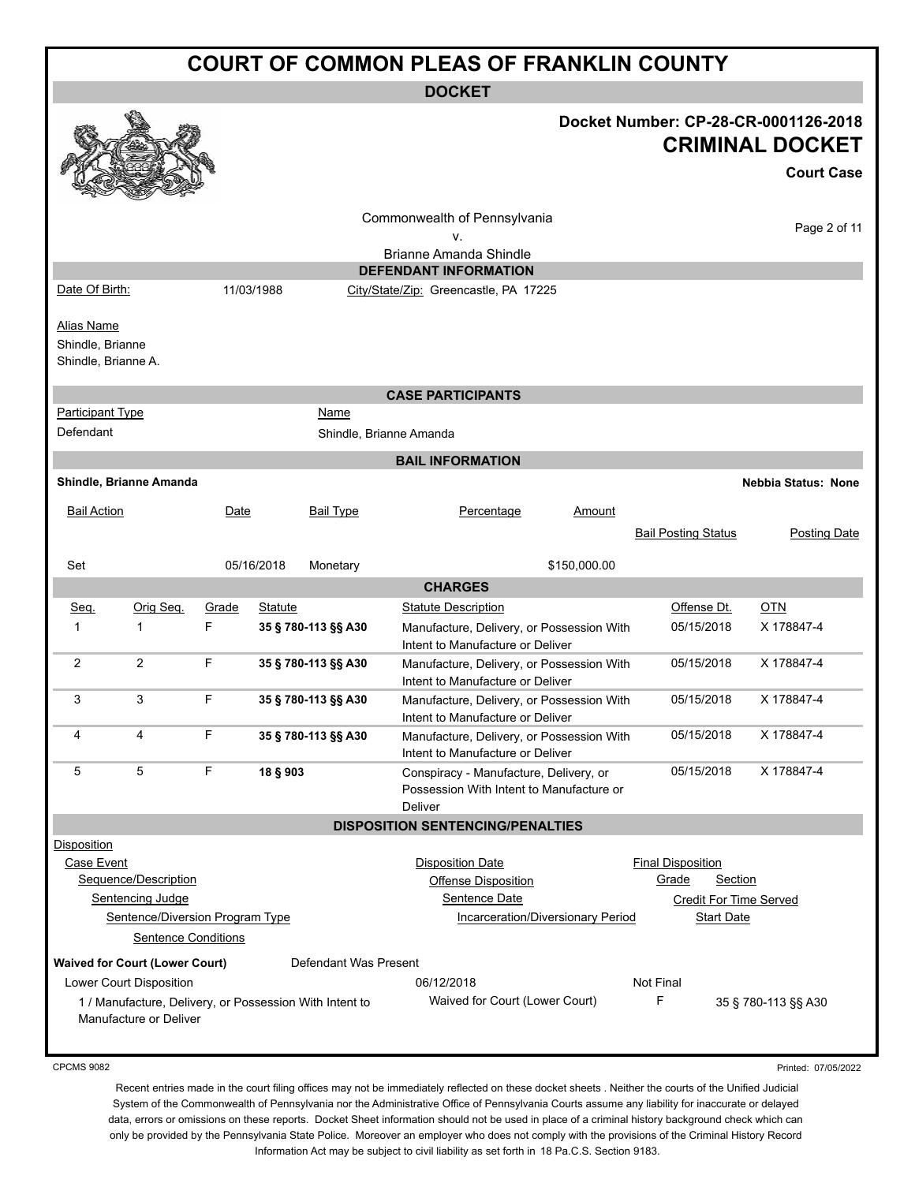| <b>COURT OF COMMON PLEAS OF FRANKLIN COUNTY</b>       |                                                                                   |            |                |                       |                                                                                                             |                                   |                                                     |                                                                                     |
|-------------------------------------------------------|-----------------------------------------------------------------------------------|------------|----------------|-----------------------|-------------------------------------------------------------------------------------------------------------|-----------------------------------|-----------------------------------------------------|-------------------------------------------------------------------------------------|
|                                                       |                                                                                   |            |                |                       | <b>DOCKET</b>                                                                                               |                                   |                                                     |                                                                                     |
|                                                       |                                                                                   |            |                |                       |                                                                                                             |                                   |                                                     | Docket Number: CP-28-CR-0001126-2018<br><b>CRIMINAL DOCKET</b><br><b>Court Case</b> |
|                                                       |                                                                                   |            |                |                       | Commonwealth of Pennsylvania                                                                                |                                   |                                                     | Page 2 of 11                                                                        |
|                                                       |                                                                                   |            |                |                       | ٧.<br><b>Brianne Amanda Shindle</b>                                                                         |                                   |                                                     |                                                                                     |
|                                                       |                                                                                   |            |                |                       | <b>DEFENDANT INFORMATION</b>                                                                                |                                   |                                                     |                                                                                     |
| Date Of Birth:                                        |                                                                                   |            | 11/03/1988     |                       | City/State/Zip: Greencastle, PA 17225                                                                       |                                   |                                                     |                                                                                     |
| Alias Name<br>Shindle, Brianne<br>Shindle, Brianne A. |                                                                                   |            |                |                       |                                                                                                             |                                   |                                                     |                                                                                     |
|                                                       |                                                                                   |            |                |                       | <b>CASE PARTICIPANTS</b>                                                                                    |                                   |                                                     |                                                                                     |
| Participant Type<br>Defendant                         |                                                                                   |            |                | Name                  | Shindle, Brianne Amanda                                                                                     |                                   |                                                     |                                                                                     |
|                                                       |                                                                                   |            |                |                       | <b>BAIL INFORMATION</b>                                                                                     |                                   |                                                     |                                                                                     |
|                                                       | Shindle, Brianne Amanda                                                           |            |                |                       |                                                                                                             |                                   |                                                     | <b>Nebbia Status: None</b>                                                          |
| <b>Bail Action</b>                                    |                                                                                   | Date       |                | <b>Bail Type</b>      | Percentage                                                                                                  | <u>Amount</u>                     | <b>Bail Posting Status</b>                          | Posting Date                                                                        |
| Set                                                   |                                                                                   |            | 05/16/2018     | Monetary              |                                                                                                             | \$150,000.00                      |                                                     |                                                                                     |
|                                                       |                                                                                   |            |                |                       | <b>CHARGES</b>                                                                                              |                                   |                                                     |                                                                                     |
| Seq.<br>1                                             | Orig Seq.<br>$\mathbf{1}$                                                         | Grade<br>F | <b>Statute</b> | 35 § 780-113 §§ A30   | <b>Statute Description</b><br>Manufacture, Delivery, or Possession With<br>Intent to Manufacture or Deliver |                                   | Offense Dt.<br>05/15/2018                           | OTN<br>X 178847-4                                                                   |
| 2                                                     | $\overline{2}$                                                                    | F          |                | 35 § 780-113 §§ A30   | Manufacture, Delivery, or Possession With<br>Intent to Manufacture or Deliver                               |                                   | 05/15/2018                                          | X 178847-4                                                                          |
| 3                                                     | 3                                                                                 | F          |                | 35 § 780-113 §§ A30   | Manufacture, Delivery, or Possession With<br>Intent to Manufacture or Deliver                               |                                   | 05/15/2018                                          | X 178847-4                                                                          |
| 4                                                     | 4                                                                                 | F.         |                | 35 § 780-113 §§ A30   | Manufacture, Delivery, or Possession With<br>Intent to Manufacture or Deliver                               |                                   | 05/15/2018                                          | X 178847-4                                                                          |
| 5                                                     | 5                                                                                 | F          | 18 § 903       |                       | Conspiracy - Manufacture, Delivery, or<br>Possession With Intent to Manufacture or<br>Deliver               |                                   | 05/15/2018                                          | X 178847-4                                                                          |
|                                                       |                                                                                   |            |                |                       | <b>DISPOSITION SENTENCING/PENALTIES</b>                                                                     |                                   |                                                     |                                                                                     |
| <b>Disposition</b><br>Case Event                      | Sequence/Description                                                              |            |                |                       | <b>Disposition Date</b><br><b>Offense Disposition</b>                                                       |                                   | <b>Final Disposition</b><br>Grade<br><b>Section</b> |                                                                                     |
|                                                       | Sentencing Judge                                                                  |            |                |                       | Sentence Date                                                                                               |                                   | <b>Credit For Time Served</b>                       |                                                                                     |
|                                                       | Sentence/Diversion Program Type                                                   |            |                |                       |                                                                                                             | Incarceration/Diversionary Period | <b>Start Date</b>                                   |                                                                                     |
|                                                       | <b>Sentence Conditions</b>                                                        |            |                |                       |                                                                                                             |                                   |                                                     |                                                                                     |
|                                                       | <b>Waived for Court (Lower Court)</b>                                             |            |                | Defendant Was Present |                                                                                                             |                                   |                                                     |                                                                                     |
|                                                       | Lower Court Disposition                                                           |            |                |                       | 06/12/2018                                                                                                  |                                   | Not Final                                           |                                                                                     |
|                                                       | 1 / Manufacture, Delivery, or Possession With Intent to<br>Manufacture or Deliver |            |                |                       | Waived for Court (Lower Court)                                                                              |                                   | F                                                   | 35 § 780-113 §§ A30                                                                 |

CPCMS 9082

Printed: 07/05/2022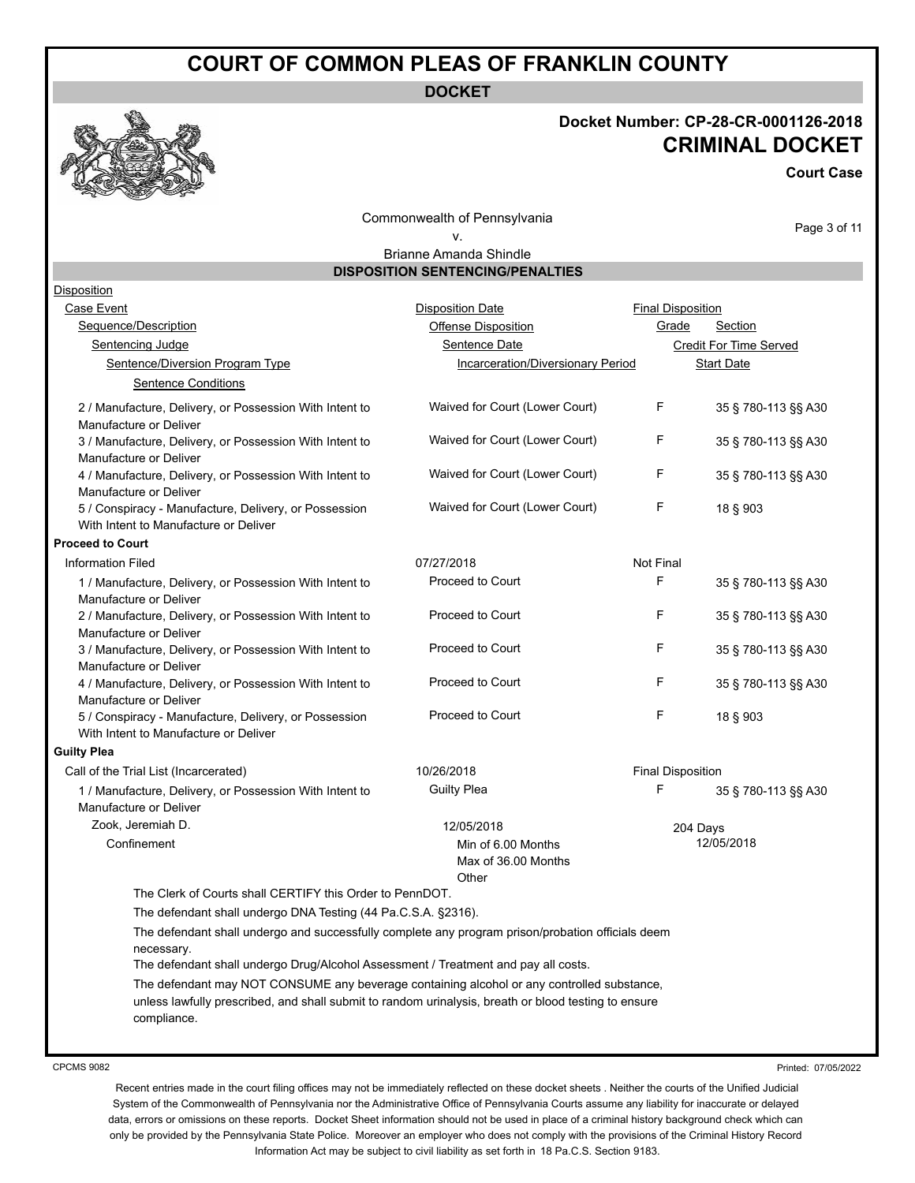**DOCKET**



# **Docket Number: CP-28-CR-0001126-2018 CRIMINAL DOCKET**

**Court Case**

Commonwealth of Pennsylvania v.

Page 3 of 11

Brianne Amanda Shindle **DISPOSITION SENTENCING/PENALTIES**

| <b>Disposition</b>       |                                                                                                                                                                                                                   |                                   |                          |                        |
|--------------------------|-------------------------------------------------------------------------------------------------------------------------------------------------------------------------------------------------------------------|-----------------------------------|--------------------------|------------------------|
| Case Event               |                                                                                                                                                                                                                   | <b>Disposition Date</b>           | <b>Final Disposition</b> |                        |
|                          | Sequence/Description                                                                                                                                                                                              | Offense Disposition               | Grade                    | Section                |
|                          | Sentencing Judge                                                                                                                                                                                                  | Sentence Date                     |                          | Credit For Time Served |
|                          | Sentence/Diversion Program Type                                                                                                                                                                                   | Incarceration/Diversionary Period |                          | <b>Start Date</b>      |
|                          | <b>Sentence Conditions</b>                                                                                                                                                                                        |                                   |                          |                        |
|                          | 2 / Manufacture, Delivery, or Possession With Intent to                                                                                                                                                           | Waived for Court (Lower Court)    | F                        | 35 § 780-113 §§ A30    |
|                          | Manufacture or Deliver<br>3 / Manufacture, Delivery, or Possession With Intent to                                                                                                                                 | Waived for Court (Lower Court)    | F                        | 35 § 780-113 §§ A30    |
|                          | Manufacture or Deliver<br>4 / Manufacture, Delivery, or Possession With Intent to<br>Manufacture or Deliver                                                                                                       | Waived for Court (Lower Court)    | F                        | 35 § 780-113 §§ A30    |
|                          | 5 / Conspiracy - Manufacture, Delivery, or Possession<br>With Intent to Manufacture or Deliver                                                                                                                    | Waived for Court (Lower Court)    | F                        | 18 § 903               |
| <b>Proceed to Court</b>  |                                                                                                                                                                                                                   |                                   |                          |                        |
| <b>Information Filed</b> |                                                                                                                                                                                                                   | 07/27/2018                        | Not Final                |                        |
|                          | 1 / Manufacture, Delivery, or Possession With Intent to<br>Manufacture or Deliver                                                                                                                                 | Proceed to Court                  | F                        | 35 § 780-113 §§ A30    |
|                          | 2 / Manufacture, Delivery, or Possession With Intent to<br>Manufacture or Deliver                                                                                                                                 | Proceed to Court                  | F                        | 35 § 780-113 §§ A30    |
|                          | 3 / Manufacture, Delivery, or Possession With Intent to<br>Manufacture or Deliver                                                                                                                                 | Proceed to Court                  | F                        | 35 § 780-113 §§ A30    |
|                          | 4 / Manufacture, Delivery, or Possession With Intent to                                                                                                                                                           | Proceed to Court                  | F                        | 35 § 780-113 §§ A30    |
|                          | Manufacture or Deliver<br>5 / Conspiracy - Manufacture, Delivery, or Possession                                                                                                                                   | Proceed to Court                  | F                        | 18 § 903               |
|                          | With Intent to Manufacture or Deliver                                                                                                                                                                             |                                   |                          |                        |
| <b>Guilty Plea</b>       |                                                                                                                                                                                                                   |                                   |                          |                        |
|                          | Call of the Trial List (Incarcerated)                                                                                                                                                                             | 10/26/2018                        | <b>Final Disposition</b> |                        |
|                          | 1 / Manufacture, Delivery, or Possession With Intent to<br>Manufacture or Deliver                                                                                                                                 | <b>Guilty Plea</b>                | F                        | 35 § 780-113 §§ A30    |
|                          | Zook, Jeremiah D.                                                                                                                                                                                                 | 12/05/2018                        | 204 Days                 |                        |
|                          | Confinement                                                                                                                                                                                                       | Min of 6.00 Months                |                          | 12/05/2018             |
|                          |                                                                                                                                                                                                                   | Max of 36.00 Months               |                          |                        |
|                          |                                                                                                                                                                                                                   | Other                             |                          |                        |
|                          | The Clerk of Courts shall CERTIFY this Order to PennDOT.                                                                                                                                                          |                                   |                          |                        |
|                          | The defendant shall undergo DNA Testing (44 Pa.C.S.A. §2316).                                                                                                                                                     |                                   |                          |                        |
|                          | The defendant shall undergo and successfully complete any program prison/probation officials deem<br>necessary.                                                                                                   |                                   |                          |                        |
|                          | The defendant shall undergo Drug/Alcohol Assessment / Treatment and pay all costs.                                                                                                                                |                                   |                          |                        |
|                          | The defendant may NOT CONSUME any beverage containing alcohol or any controlled substance,<br>unless lawfully prescribed, and shall submit to random urinalysis, breath or blood testing to ensure<br>compliance. |                                   |                          |                        |
|                          |                                                                                                                                                                                                                   |                                   |                          |                        |

CPCMS 9082

Printed: 07/05/2022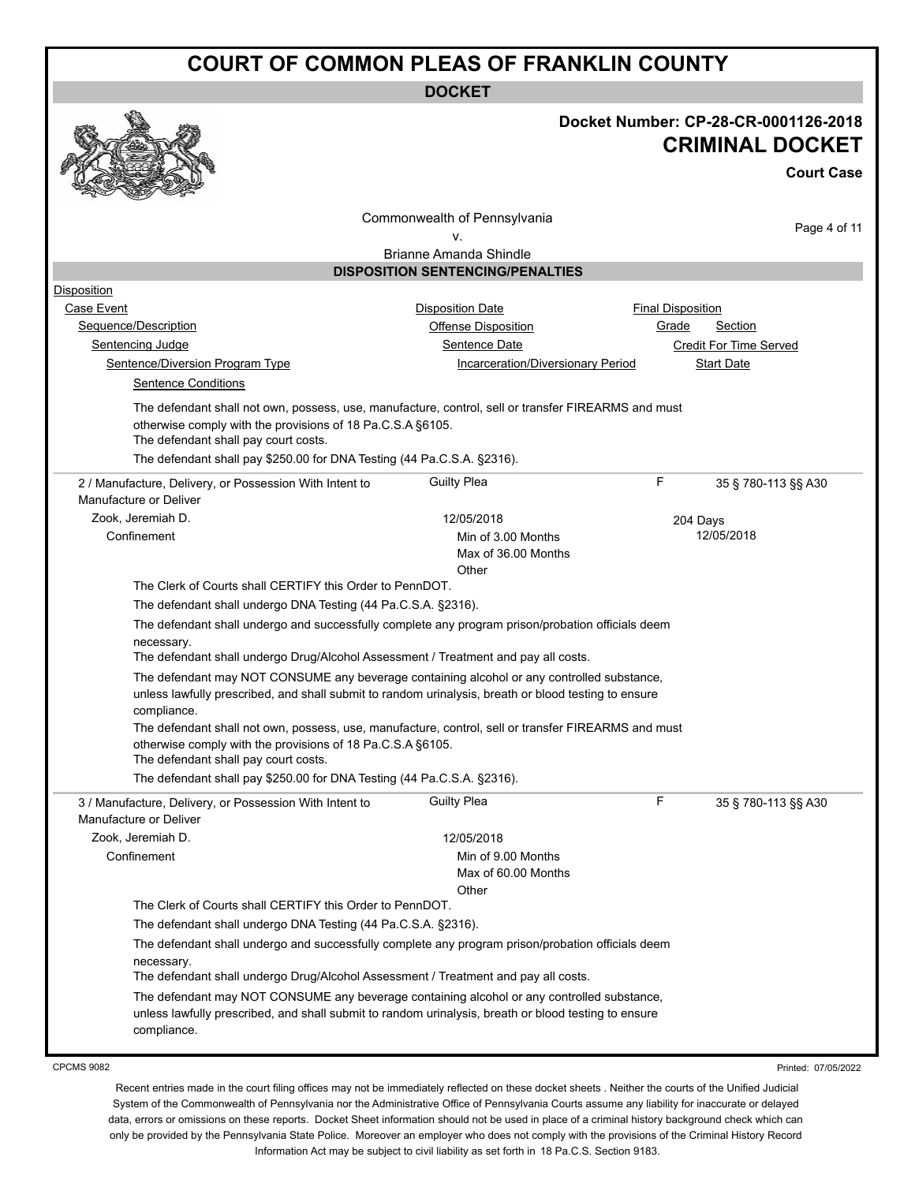|                                                                                                  | <b>DOCKET</b>                                                                                                                                                                                      |                                                                                     |
|--------------------------------------------------------------------------------------------------|----------------------------------------------------------------------------------------------------------------------------------------------------------------------------------------------------|-------------------------------------------------------------------------------------|
|                                                                                                  |                                                                                                                                                                                                    | Docket Number: CP-28-CR-0001126-2018<br><b>CRIMINAL DOCKET</b><br><b>Court Case</b> |
|                                                                                                  |                                                                                                                                                                                                    |                                                                                     |
|                                                                                                  | Commonwealth of Pennsylvania                                                                                                                                                                       |                                                                                     |
|                                                                                                  | ٧.                                                                                                                                                                                                 | Page 4 of 11                                                                        |
|                                                                                                  | <b>Brianne Amanda Shindle</b>                                                                                                                                                                      |                                                                                     |
|                                                                                                  | <b>DISPOSITION SENTENCING/PENALTIES</b>                                                                                                                                                            |                                                                                     |
| Disposition                                                                                      |                                                                                                                                                                                                    |                                                                                     |
| Case Event                                                                                       | <b>Disposition Date</b>                                                                                                                                                                            | Final Disposition                                                                   |
| Sequence/Description                                                                             | Offense Disposition<br>Sentence Date                                                                                                                                                               | Grade<br><b>Section</b>                                                             |
| Sentencing Judge<br>Sentence/Diversion Program Type                                              | <b>Incarceration/Diversionary Period</b>                                                                                                                                                           | Credit For Time Served<br><b>Start Date</b>                                         |
| <b>Sentence Conditions</b>                                                                       |                                                                                                                                                                                                    |                                                                                     |
|                                                                                                  |                                                                                                                                                                                                    |                                                                                     |
| otherwise comply with the provisions of 18 Pa.C.S.A §6105.                                       | The defendant shall not own, possess, use, manufacture, control, sell or transfer FIREARMS and must                                                                                                |                                                                                     |
| The defendant shall pay court costs.                                                             |                                                                                                                                                                                                    |                                                                                     |
| The defendant shall pay \$250.00 for DNA Testing (44 Pa.C.S.A. §2316).                           |                                                                                                                                                                                                    |                                                                                     |
| 2 / Manufacture, Delivery, or Possession With Intent to                                          | <b>Guilty Plea</b>                                                                                                                                                                                 | F<br>35 § 780-113 §§ A30                                                            |
| Manufacture or Deliver                                                                           |                                                                                                                                                                                                    |                                                                                     |
| Zook, Jeremiah D.                                                                                | 12/05/2018                                                                                                                                                                                         | 204 Days                                                                            |
| Confinement                                                                                      | Min of 3.00 Months                                                                                                                                                                                 | 12/05/2018                                                                          |
|                                                                                                  | Max of 36.00 Months<br>Other                                                                                                                                                                       |                                                                                     |
| The Clerk of Courts shall CERTIFY this Order to PennDOT.                                         |                                                                                                                                                                                                    |                                                                                     |
| The defendant shall undergo DNA Testing (44 Pa.C.S.A. §2316).                                    |                                                                                                                                                                                                    |                                                                                     |
| necessary.                                                                                       | The defendant shall undergo and successfully complete any program prison/probation officials deem                                                                                                  |                                                                                     |
| The defendant shall undergo Drug/Alcohol Assessment / Treatment and pay all costs.               |                                                                                                                                                                                                    |                                                                                     |
| compliance.                                                                                      | The defendant may NOT CONSUME any beverage containing alcohol or any controlled substance,<br>unless lawfully prescribed, and shall submit to random urinalysis, breath or blood testing to ensure |                                                                                     |
|                                                                                                  | The defendant shall not own, possess, use, manufacture, control, sell or transfer FIREARMS and must                                                                                                |                                                                                     |
| otherwise comply with the provisions of 18 Pa.C.S.A §6105.                                       |                                                                                                                                                                                                    |                                                                                     |
| The defendant shall pay court costs.                                                             |                                                                                                                                                                                                    |                                                                                     |
| The defendant shall pay \$250.00 for DNA Testing (44 Pa.C.S.A. §2316).                           |                                                                                                                                                                                                    |                                                                                     |
| 3 / Manufacture, Delivery, or Possession With Intent to<br>Manufacture or Deliver                | <b>Guilty Plea</b>                                                                                                                                                                                 | F<br>35 § 780-113 §§ A30                                                            |
| Zook, Jeremiah D.                                                                                | 12/05/2018                                                                                                                                                                                         |                                                                                     |
| Confinement                                                                                      | Min of 9.00 Months                                                                                                                                                                                 |                                                                                     |
|                                                                                                  | Max of 60.00 Months                                                                                                                                                                                |                                                                                     |
|                                                                                                  | Other                                                                                                                                                                                              |                                                                                     |
| The Clerk of Courts shall CERTIFY this Order to PennDOT.                                         |                                                                                                                                                                                                    |                                                                                     |
| The defendant shall undergo DNA Testing (44 Pa.C.S.A. §2316).                                    |                                                                                                                                                                                                    |                                                                                     |
| necessary.<br>The defendant shall undergo Drug/Alcohol Assessment / Treatment and pay all costs. | The defendant shall undergo and successfully complete any program prison/probation officials deem                                                                                                  |                                                                                     |
|                                                                                                  | The defendant may NOT CONSUME any beverage containing alcohol or any controlled substance,                                                                                                         |                                                                                     |
| compliance.                                                                                      | unless lawfully prescribed, and shall submit to random urinalysis, breath or blood testing to ensure                                                                                               |                                                                                     |
|                                                                                                  |                                                                                                                                                                                                    |                                                                                     |

CPCMS 9082

Printed: 07/05/2022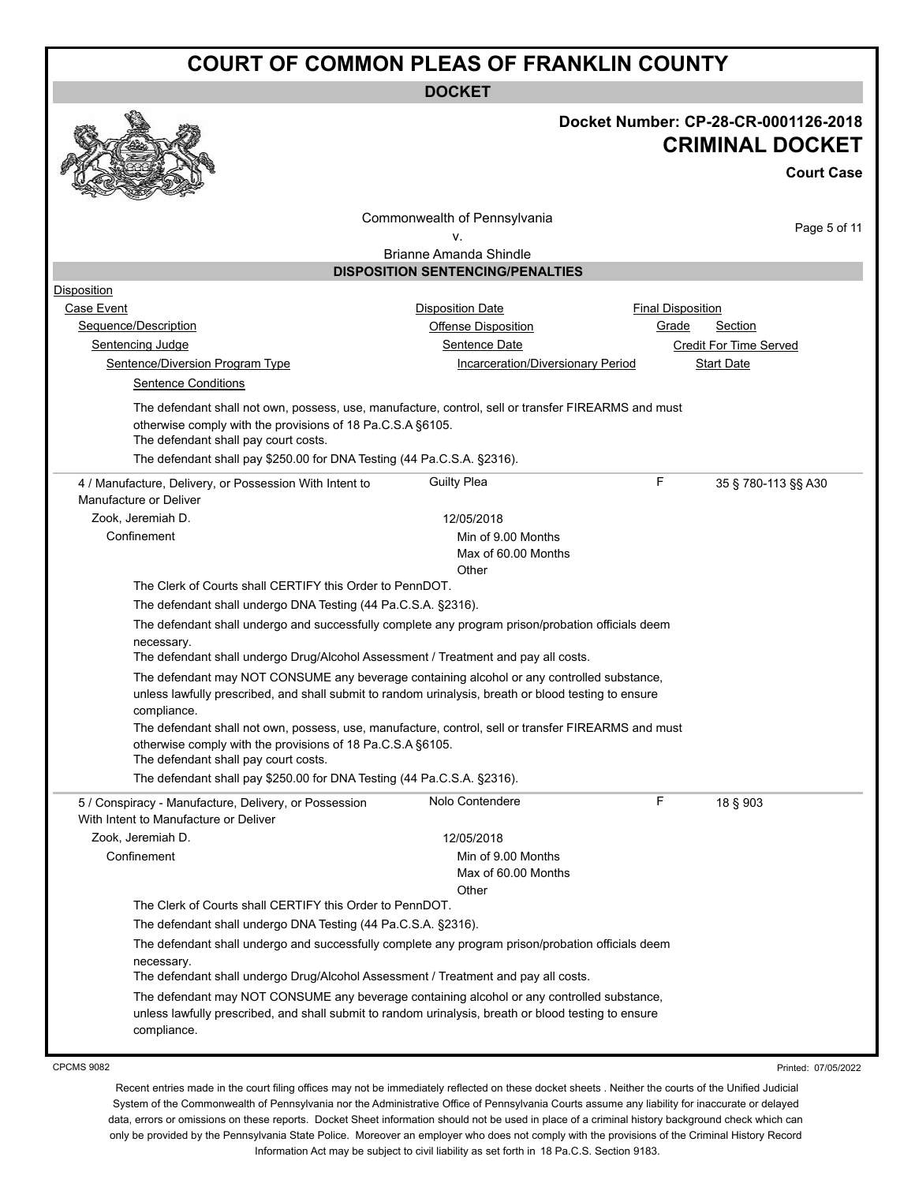**DOCKET**

|                                                                                                                                                                              | <b>DUUNEI</b>                                                                                                                                                                                      |                                      |
|------------------------------------------------------------------------------------------------------------------------------------------------------------------------------|----------------------------------------------------------------------------------------------------------------------------------------------------------------------------------------------------|--------------------------------------|
|                                                                                                                                                                              |                                                                                                                                                                                                    | Docket Number: CP-28-CR-0001126-2018 |
|                                                                                                                                                                              |                                                                                                                                                                                                    | <b>CRIMINAL DOCKET</b>               |
|                                                                                                                                                                              |                                                                                                                                                                                                    | <b>Court Case</b>                    |
|                                                                                                                                                                              | Commonwealth of Pennsylvania                                                                                                                                                                       |                                      |
|                                                                                                                                                                              | ν.                                                                                                                                                                                                 | Page 5 of 11                         |
|                                                                                                                                                                              | Brianne Amanda Shindle                                                                                                                                                                             |                                      |
|                                                                                                                                                                              | <b>DISPOSITION SENTENCING/PENALTIES</b>                                                                                                                                                            |                                      |
| Disposition                                                                                                                                                                  |                                                                                                                                                                                                    |                                      |
| Case Event                                                                                                                                                                   | <b>Disposition Date</b>                                                                                                                                                                            | <b>Final Disposition</b>             |
| Sequence/Description                                                                                                                                                         | <b>Offense Disposition</b>                                                                                                                                                                         | <u>Grade</u><br><b>Section</b>       |
| Sentencing Judge                                                                                                                                                             | Sentence Date                                                                                                                                                                                      | Credit For Time Served               |
| Sentence/Diversion Program Type<br><b>Sentence Conditions</b>                                                                                                                | Incarceration/Diversionary Period                                                                                                                                                                  | Start Date                           |
| otherwise comply with the provisions of 18 Pa.C.S.A §6105.<br>The defendant shall pay court costs.<br>The defendant shall pay \$250.00 for DNA Testing (44 Pa.C.S.A. §2316). | The defendant shall not own, possess, use, manufacture, control, sell or transfer FIREARMS and must                                                                                                |                                      |
| 4 / Manufacture, Delivery, or Possession With Intent to<br>Manufacture or Deliver                                                                                            | <b>Guilty Plea</b>                                                                                                                                                                                 | F<br>35 § 780-113 §§ A30             |
| Zook, Jeremiah D.                                                                                                                                                            | 12/05/2018                                                                                                                                                                                         |                                      |
| Confinement                                                                                                                                                                  | Min of 9.00 Months                                                                                                                                                                                 |                                      |
|                                                                                                                                                                              | Max of 60.00 Months                                                                                                                                                                                |                                      |
|                                                                                                                                                                              | Other                                                                                                                                                                                              |                                      |
| The Clerk of Courts shall CERTIFY this Order to PennDOT.                                                                                                                     |                                                                                                                                                                                                    |                                      |
| The defendant shall undergo DNA Testing (44 Pa.C.S.A. §2316).                                                                                                                |                                                                                                                                                                                                    |                                      |
| necessary.<br>The defendant shall undergo Drug/Alcohol Assessment / Treatment and pay all costs.                                                                             | The defendant shall undergo and successfully complete any program prison/probation officials deem                                                                                                  |                                      |
| compliance.                                                                                                                                                                  | The defendant may NOT CONSUME any beverage containing alcohol or any controlled substance,<br>unless lawfully prescribed, and shall submit to random urinalysis, breath or blood testing to ensure |                                      |
| otherwise comply with the provisions of 18 Pa.C.S.A §6105.<br>The defendant shall pay court costs.                                                                           | The defendant shall not own, possess, use, manufacture, control, sell or transfer FIREARMS and must                                                                                                |                                      |
| The defendant shall pay \$250.00 for DNA Testing (44 Pa.C.S.A. §2316).                                                                                                       |                                                                                                                                                                                                    |                                      |
| 5 / Conspiracy - Manufacture, Delivery, or Possession<br>With Intent to Manufacture or Deliver                                                                               | Nolo Contendere                                                                                                                                                                                    | F<br>18 § 903                        |
| Zook, Jeremiah D.                                                                                                                                                            | 12/05/2018                                                                                                                                                                                         |                                      |
| Confinement                                                                                                                                                                  | Min of 9.00 Months                                                                                                                                                                                 |                                      |
|                                                                                                                                                                              | Max of 60.00 Months                                                                                                                                                                                |                                      |
|                                                                                                                                                                              | Other                                                                                                                                                                                              |                                      |
| The Clerk of Courts shall CERTIFY this Order to PennDOT.                                                                                                                     |                                                                                                                                                                                                    |                                      |
| The defendant shall undergo DNA Testing (44 Pa.C.S.A. §2316).                                                                                                                |                                                                                                                                                                                                    |                                      |
|                                                                                                                                                                              | The defendant shall undergo and successfully complete any program prison/probation officials deem                                                                                                  |                                      |
| necessary.<br>The defendant shall undergo Drug/Alcohol Assessment / Treatment and pay all costs.                                                                             |                                                                                                                                                                                                    |                                      |
| compliance.                                                                                                                                                                  | The defendant may NOT CONSUME any beverage containing alcohol or any controlled substance,<br>unless lawfully prescribed, and shall submit to random urinalysis, breath or blood testing to ensure |                                      |
|                                                                                                                                                                              |                                                                                                                                                                                                    |                                      |

CPCMS 9082

Printed: 07/05/2022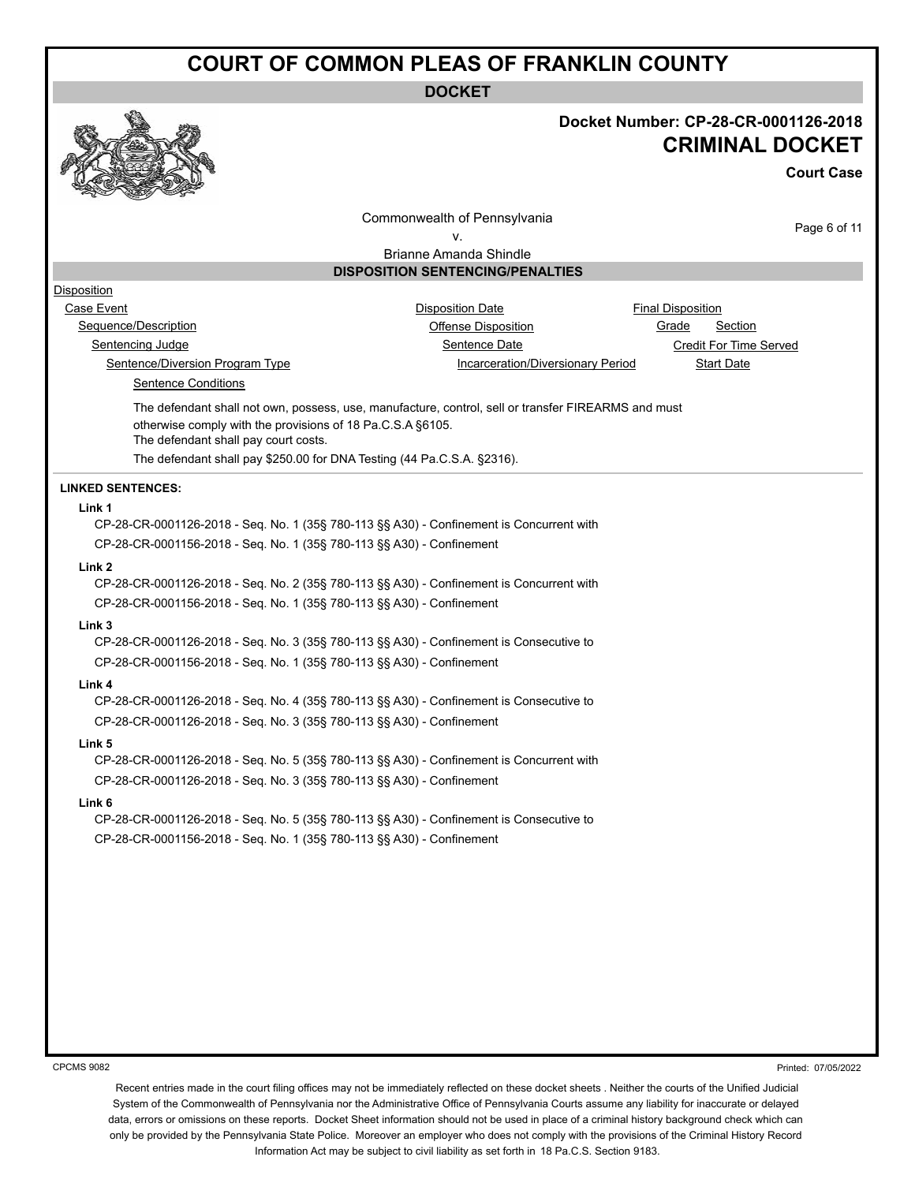**DOCKET**



### **Docket Number: CP-28-CR-0001126-2018 CRIMINAL DOCKET**

**Court Case**

Commonwealth of Pennsylvania

Page 6 of 11

v. Brianne Amanda Shindle

### **DISPOSITION SENTENCING/PENALTIES**

### Disposition

Case Event **Case Event Case Event Case Event Case Event Case Event Case Event Case Event Case Event Case Event CASE** Sequence/Description **Contains a Container Container Container** Offense Disposition **Canadian Container Section** Sentencing Judge Sentence Date Credit For Time Served

Sentence/Diversion Program Type Incarceration/Diversionary Period Start Date

Sentence Conditions

The defendant shall not own, possess, use, manufacture, control, sell or transfer FIREARMS and must otherwise comply with the provisions of 18 Pa.C.S.A §6105. The defendant shall pay court costs.

The defendant shall pay \$250.00 for DNA Testing (44 Pa.C.S.A. §2316).

#### **LINKED SENTENCES:**

#### **Link 1**

CP-28-CR-0001126-2018 - Seq. No. 1 (35§ 780-113 §§ A30) - Confinement is Concurrent with CP-28-CR-0001156-2018 - Seq. No. 1 (35§ 780-113 §§ A30) - Confinement

#### **Link 2**

CP-28-CR-0001126-2018 - Seq. No. 2 (35§ 780-113 §§ A30) - Confinement is Concurrent with CP-28-CR-0001156-2018 - Seq. No. 1 (35§ 780-113 §§ A30) - Confinement

#### **Link 3**

CP-28-CR-0001126-2018 - Seq. No. 3 (35§ 780-113 §§ A30) - Confinement is Consecutive to CP-28-CR-0001156-2018 - Seq. No. 1 (35§ 780-113 §§ A30) - Confinement

#### **Link 4**

CP-28-CR-0001126-2018 - Seq. No. 4 (35§ 780-113 §§ A30) - Confinement is Consecutive to CP-28-CR-0001126-2018 - Seq. No. 3 (35§ 780-113 §§ A30) - Confinement

#### **Link 5**

CP-28-CR-0001126-2018 - Seq. No. 5 (35§ 780-113 §§ A30) - Confinement is Concurrent with CP-28-CR-0001126-2018 - Seq. No. 3 (35§ 780-113 §§ A30) - Confinement

#### **Link 6**

CP-28-CR-0001126-2018 - Seq. No. 5 (35§ 780-113 §§ A30) - Confinement is Consecutive to CP-28-CR-0001156-2018 - Seq. No. 1 (35§ 780-113 §§ A30) - Confinement

CPCMS 9082

Printed: 07/05/2022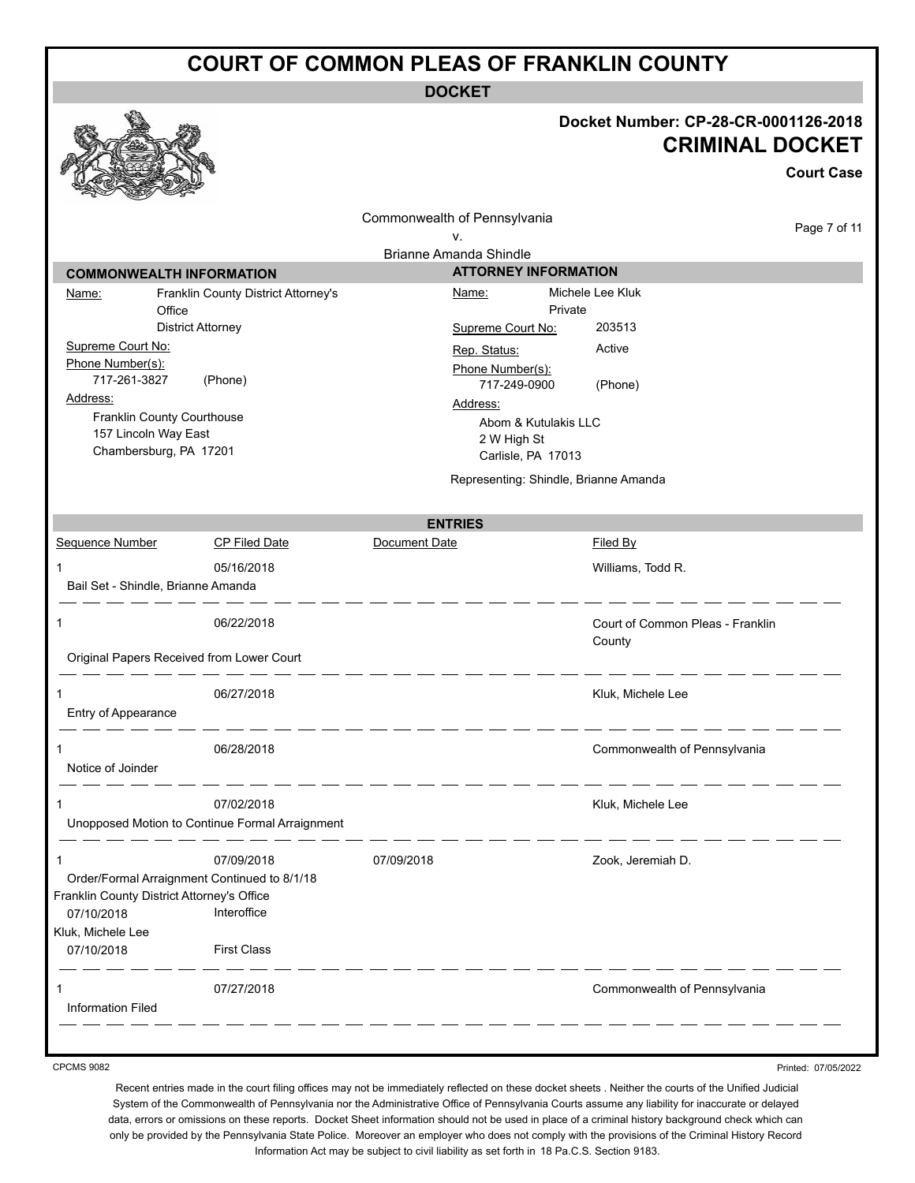**DOCKET**

|                                                                                          |                                                               | <b>DOCKE</b>                                                          |                                                                                     |
|------------------------------------------------------------------------------------------|---------------------------------------------------------------|-----------------------------------------------------------------------|-------------------------------------------------------------------------------------|
|                                                                                          |                                                               |                                                                       | Docket Number: CP-28-CR-0001126-2018<br><b>CRIMINAL DOCKET</b><br><b>Court Case</b> |
|                                                                                          |                                                               | Commonwealth of Pennsylvania                                          | Page 7 of 11                                                                        |
|                                                                                          |                                                               | ۷.<br><b>Brianne Amanda Shindle</b>                                   |                                                                                     |
| <b>COMMONWEALTH INFORMATION</b>                                                          |                                                               | <b>ATTORNEY INFORMATION</b>                                           |                                                                                     |
| Name:<br>Office                                                                          | Franklin County District Attorney's                           | Name:<br>Private                                                      | Michele Lee Kluk                                                                    |
|                                                                                          | <b>District Attorney</b>                                      | Supreme Court No:                                                     | 203513                                                                              |
| Supreme Court No:<br>Phone Number(s):                                                    |                                                               | Rep. Status:<br>Phone Number(s):                                      | Active                                                                              |
| 717-261-3827                                                                             | (Phone)                                                       | 717-249-0900                                                          | (Phone)                                                                             |
| Address:<br>Franklin County Courthouse<br>157 Lincoln Way East<br>Chambersburg, PA 17201 |                                                               | Address:<br>Abom & Kutulakis LLC<br>2 W High St<br>Carlisle, PA 17013 |                                                                                     |
|                                                                                          |                                                               | Representing: Shindle, Brianne Amanda                                 |                                                                                     |
|                                                                                          |                                                               | <b>ENTRIES</b>                                                        |                                                                                     |
| Sequence Number                                                                          | <b>CP Filed Date</b>                                          | Document Date                                                         | Filed By                                                                            |
| 1<br>Bail Set - Shindle, Brianne Amanda                                                  | 05/16/2018                                                    |                                                                       | Williams, Todd R.                                                                   |
| 1                                                                                        | 06/22/2018                                                    |                                                                       | Court of Common Pleas - Franklin<br>County                                          |
| Original Papers Received from Lower Court                                                |                                                               |                                                                       |                                                                                     |
| 1<br>Entry of Appearance                                                                 | 06/27/2018                                                    |                                                                       | Kluk, Michele Lee                                                                   |
| 1<br>Notice of Joinder                                                                   | 06/28/2018                                                    |                                                                       | Commonwealth of Pennsylvania                                                        |
| 1                                                                                        | 07/02/2018<br>Unopposed Motion to Continue Formal Arraignment |                                                                       | Kluk, Michele Lee                                                                   |
| 1<br>Franklin County District Attorney's Office                                          | 07/09/2018<br>Order/Formal Arraignment Continued to 8/1/18    | 07/09/2018                                                            | Zook, Jeremiah D.                                                                   |
| 07/10/2018                                                                               | Interoffice                                                   |                                                                       |                                                                                     |
| Kluk, Michele Lee<br>07/10/2018                                                          | <b>First Class</b>                                            |                                                                       |                                                                                     |

CPCMS 9082

Recent entries made in the court filing offices may not be immediately reflected on these docket sheets . Neither the courts of the Unified Judicial System of the Commonwealth of Pennsylvania nor the Administrative Office of Pennsylvania Courts assume any liability for inaccurate or delayed data, errors or omissions on these reports. Docket Sheet information should not be used in place of a criminal history background check which can only be provided by the Pennsylvania State Police. Moreover an employer who does not comply with the provisions of the Criminal History Record Information Act may be subject to civil liability as set forth in 18 Pa.C.S. Section 9183.

Printed: 07/05/2022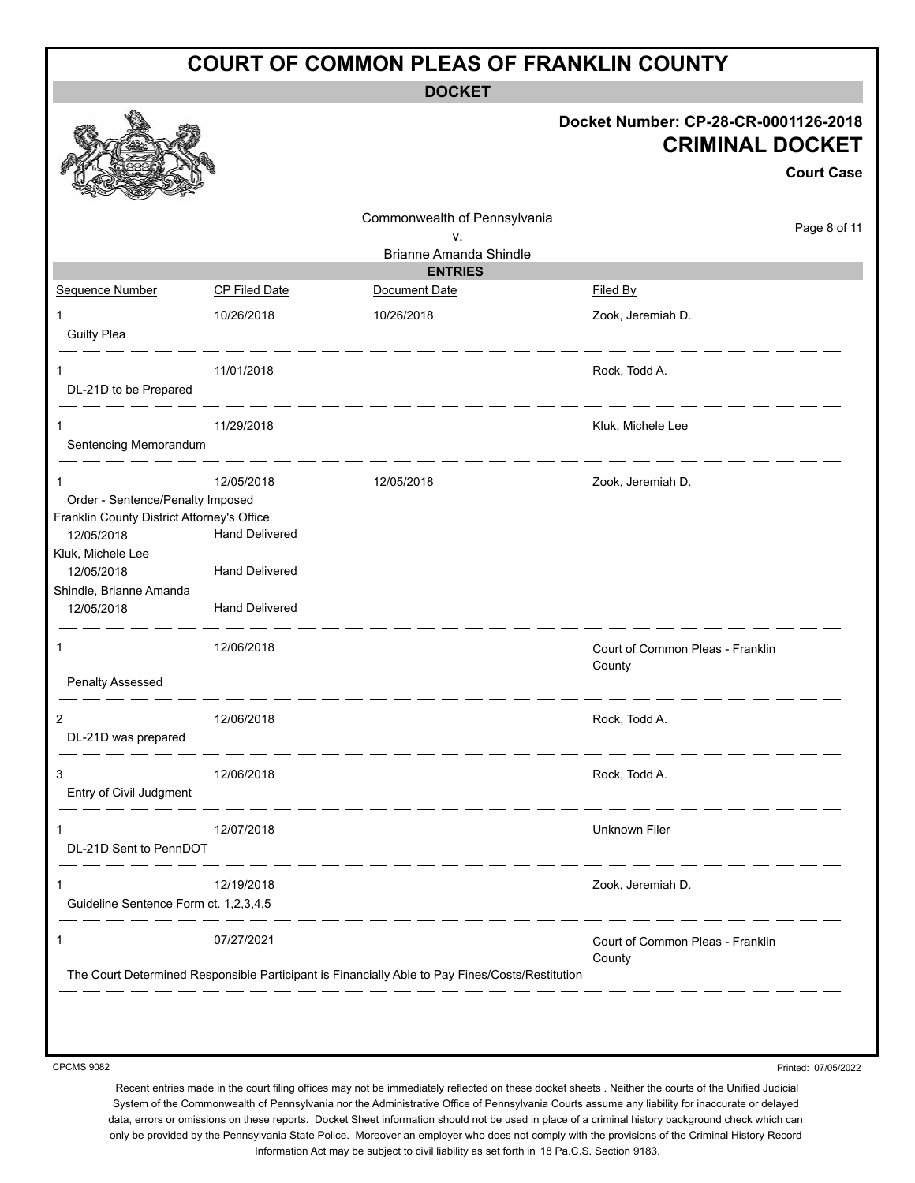**DOCKET**

|                                                                                                                                                                               |                                                                                       | ו שטש                                                                                           |                                                                                     |
|-------------------------------------------------------------------------------------------------------------------------------------------------------------------------------|---------------------------------------------------------------------------------------|-------------------------------------------------------------------------------------------------|-------------------------------------------------------------------------------------|
|                                                                                                                                                                               |                                                                                       |                                                                                                 | Docket Number: CP-28-CR-0001126-2018<br><b>CRIMINAL DOCKET</b><br><b>Court Case</b> |
|                                                                                                                                                                               |                                                                                       | Commonwealth of Pennsylvania<br>v.<br><b>Brianne Amanda Shindle</b>                             | Page 8 of 11                                                                        |
|                                                                                                                                                                               |                                                                                       | <b>ENTRIES</b>                                                                                  |                                                                                     |
| Sequence Number                                                                                                                                                               | CP Filed Date                                                                         | Document Date                                                                                   | Filed By                                                                            |
| 1<br><b>Guilty Plea</b>                                                                                                                                                       | 10/26/2018                                                                            | 10/26/2018                                                                                      | Zook, Jeremiah D.                                                                   |
| 1<br>DL-21D to be Prepared                                                                                                                                                    | 11/01/2018                                                                            |                                                                                                 | Rock, Todd A.                                                                       |
| 1<br>Sentencing Memorandum                                                                                                                                                    | 11/29/2018                                                                            |                                                                                                 | Kluk, Michele Lee                                                                   |
| 1<br>Order - Sentence/Penalty Imposed<br>Franklin County District Attorney's Office<br>12/05/2018<br>Kluk, Michele Lee<br>12/05/2018<br>Shindle, Brianne Amanda<br>12/05/2018 | 12/05/2018<br><b>Hand Delivered</b><br><b>Hand Delivered</b><br><b>Hand Delivered</b> | 12/05/2018                                                                                      | Zook, Jeremiah D.                                                                   |
| 1<br><b>Penalty Assessed</b>                                                                                                                                                  | 12/06/2018                                                                            |                                                                                                 | Court of Common Pleas - Franklin<br>County                                          |
| 2<br>DL-21D was prepared                                                                                                                                                      | 12/06/2018                                                                            |                                                                                                 | Rock, Todd A.                                                                       |
| 3<br>Entry of Civil Judgment                                                                                                                                                  | 12/06/2018                                                                            |                                                                                                 | Rock, Todd A.                                                                       |
| 1<br>DL-21D Sent to PennDOT                                                                                                                                                   | 12/07/2018                                                                            |                                                                                                 | Unknown Filer                                                                       |
| 1<br>Guideline Sentence Form ct. 1,2,3,4,5                                                                                                                                    | 12/19/2018                                                                            |                                                                                                 | Zook, Jeremiah D.                                                                   |
| 1                                                                                                                                                                             | 07/27/2021                                                                            | The Court Determined Responsible Participant is Financially Able to Pay Fines/Costs/Restitution | Court of Common Pleas - Franklin<br>County                                          |
|                                                                                                                                                                               |                                                                                       |                                                                                                 |                                                                                     |

CPCMS 9082

Printed: 07/05/2022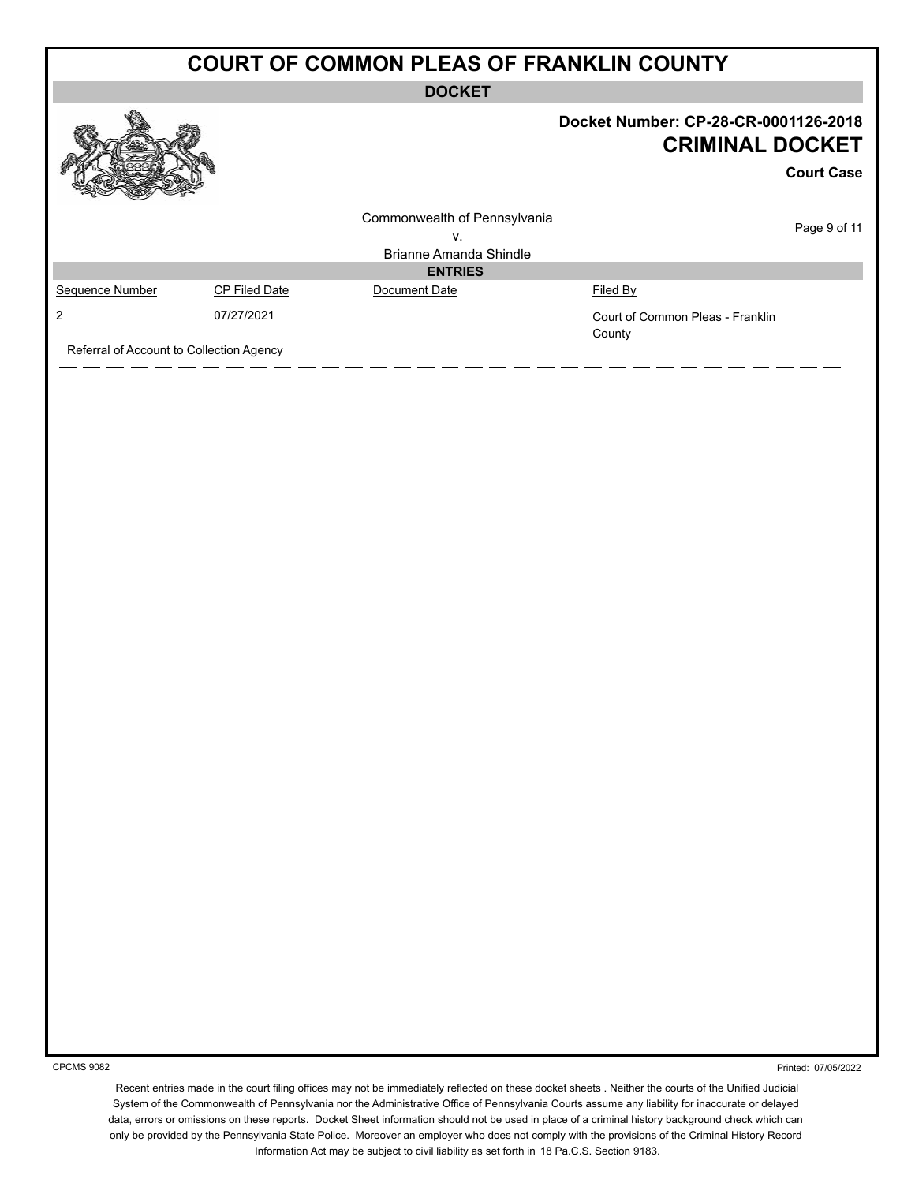**DOCKET**

|                                          |                      | -----                                                        |                                                                |                   |
|------------------------------------------|----------------------|--------------------------------------------------------------|----------------------------------------------------------------|-------------------|
|                                          |                      |                                                              | Docket Number: CP-28-CR-0001126-2018<br><b>CRIMINAL DOCKET</b> | <b>Court Case</b> |
|                                          |                      | Commonwealth of Pennsylvania<br>v.<br>Brianne Amanda Shindle |                                                                | Page 9 of 11      |
|                                          |                      | <b>ENTRIES</b>                                               |                                                                |                   |
| Sequence Number                          | <b>CP Filed Date</b> | Document Date                                                | Filed By                                                       |                   |
| 2                                        | 07/27/2021           |                                                              | Court of Common Pleas - Franklin<br>County                     |                   |
| Referral of Account to Collection Agency |                      |                                                              |                                                                |                   |

CPCMS 9082

Printed: 07/05/2022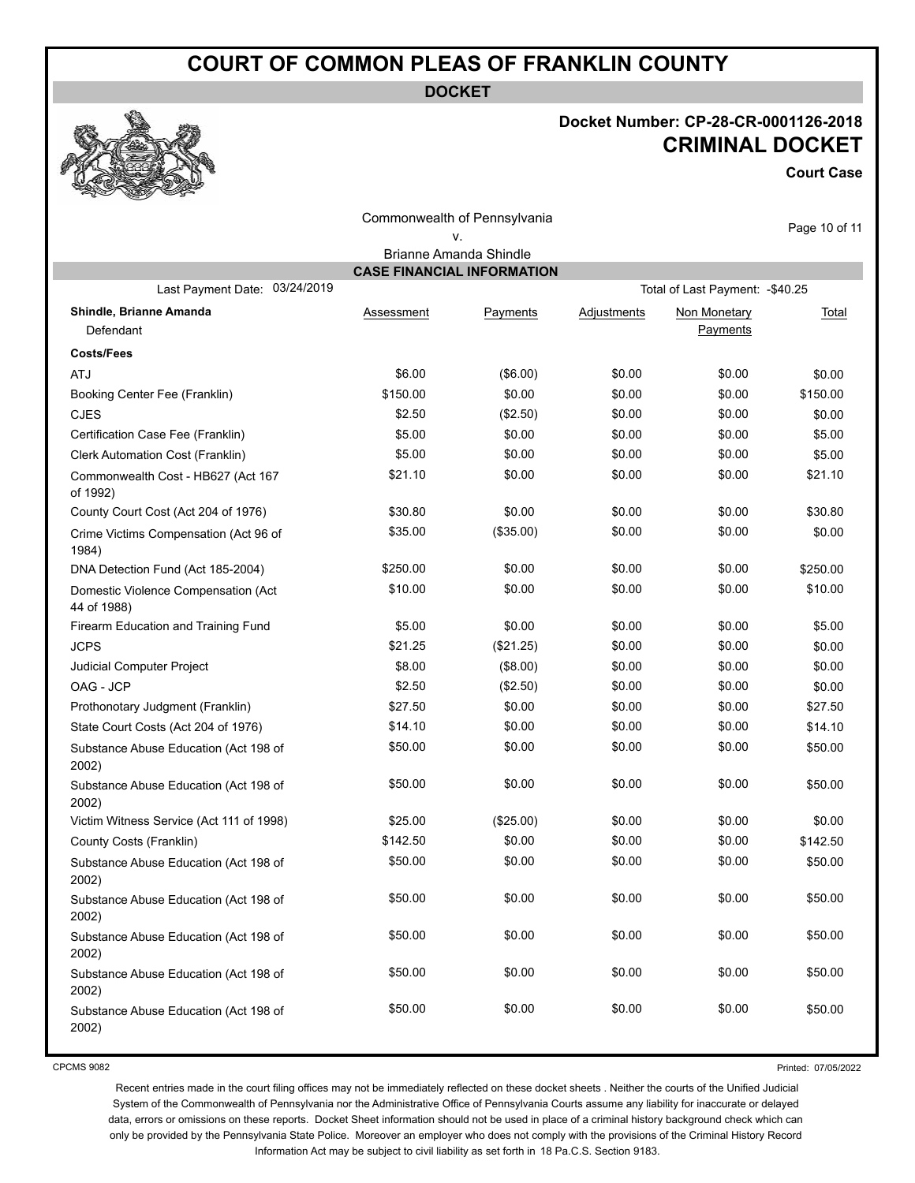**DOCKET**

# **Docket Number: CP-28-CR-0001126-2018 CRIMINAL DOCKET**

**Court Case**

|                                                    |                                   | Commonwealth of Pennsylvania |                    |                                  | Page 10 of 11 |
|----------------------------------------------------|-----------------------------------|------------------------------|--------------------|----------------------------------|---------------|
|                                                    |                                   | ٧.                           |                    |                                  |               |
|                                                    |                                   | Brianne Amanda Shindle       |                    |                                  |               |
|                                                    | <b>CASE FINANCIAL INFORMATION</b> |                              |                    |                                  |               |
| Last Payment Date: 03/24/2019                      |                                   |                              |                    | Total of Last Payment: - \$40.25 |               |
| Shindle, Brianne Amanda<br>Defendant               | Assessment                        | Payments                     | <b>Adjustments</b> | Non Monetary<br>Payments         | Total         |
| <b>Costs/Fees</b>                                  |                                   |                              |                    |                                  |               |
| <b>ATJ</b>                                         | \$6.00                            | (\$6.00)                     | \$0.00             | \$0.00                           | \$0.00        |
| Booking Center Fee (Franklin)                      | \$150.00                          | \$0.00                       | \$0.00             | \$0.00                           | \$150.00      |
| <b>CJES</b>                                        | \$2.50                            | (\$2.50)                     | \$0.00             | \$0.00                           | \$0.00        |
| Certification Case Fee (Franklin)                  | \$5.00                            | \$0.00                       | \$0.00             | \$0.00                           | \$5.00        |
| Clerk Automation Cost (Franklin)                   | \$5.00                            | \$0.00                       | \$0.00             | \$0.00                           | \$5.00        |
| Commonwealth Cost - HB627 (Act 167<br>of 1992)     | \$21.10                           | \$0.00                       | \$0.00             | \$0.00                           | \$21.10       |
| County Court Cost (Act 204 of 1976)                | \$30.80                           | \$0.00                       | \$0.00             | \$0.00                           | \$30.80       |
| Crime Victims Compensation (Act 96 of<br>1984)     | \$35.00                           | (\$35.00)                    | \$0.00             | \$0.00                           | \$0.00        |
| DNA Detection Fund (Act 185-2004)                  | \$250.00                          | \$0.00                       | \$0.00             | \$0.00                           | \$250.00      |
| Domestic Violence Compensation (Act<br>44 of 1988) | \$10.00                           | \$0.00                       | \$0.00             | \$0.00                           | \$10.00       |
| Firearm Education and Training Fund                | \$5.00                            | \$0.00                       | \$0.00             | \$0.00                           | \$5.00        |
| <b>JCPS</b>                                        | \$21.25                           | (\$21.25)                    | \$0.00             | \$0.00                           | \$0.00        |
| Judicial Computer Project                          | \$8.00                            | (\$8.00)                     | \$0.00             | \$0.00                           | \$0.00        |
| OAG - JCP                                          | \$2.50                            | (\$2.50)                     | \$0.00             | \$0.00                           | \$0.00        |
| Prothonotary Judgment (Franklin)                   | \$27.50                           | \$0.00                       | \$0.00             | \$0.00                           | \$27.50       |
| State Court Costs (Act 204 of 1976)                | \$14.10                           | \$0.00                       | \$0.00             | \$0.00                           | \$14.10       |
| Substance Abuse Education (Act 198 of<br>2002)     | \$50.00                           | \$0.00                       | \$0.00             | \$0.00                           | \$50.00       |
| Substance Abuse Education (Act 198 of<br>2002)     | \$50.00                           | \$0.00                       | \$0.00             | \$0.00                           | \$50.00       |
| Victim Witness Service (Act 111 of 1998)           | \$25.00                           | (\$25.00)                    | \$0.00             | \$0.00                           | \$0.00        |
| County Costs (Franklin)                            | \$142.50                          | \$0.00                       | \$0.00             | \$0.00                           | \$142.50      |
| Substance Abuse Education (Act 198 of<br>2002)     | \$50.00                           | \$0.00                       | \$0.00             | \$0.00                           | \$50.00       |
| Substance Abuse Education (Act 198 of<br>2002)     | \$50.00                           | \$0.00                       | \$0.00             | \$0.00                           | \$50.00       |
| Substance Abuse Education (Act 198 of<br>2002)     | \$50.00                           | \$0.00                       | \$0.00             | \$0.00                           | \$50.00       |
| Substance Abuse Education (Act 198 of<br>2002)     | \$50.00                           | \$0.00                       | \$0.00             | \$0.00                           | \$50.00       |
| Substance Abuse Education (Act 198 of<br>2002)     | \$50.00                           | \$0.00                       | \$0.00             | \$0.00                           | \$50.00       |

CPCMS 9082

Printed: 07/05/2022